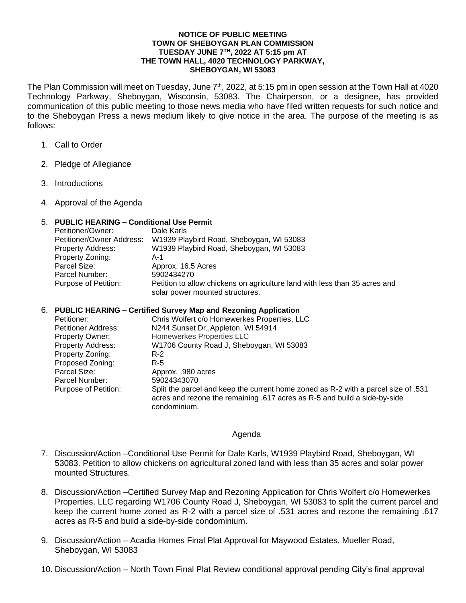## **NOTICE OF PUBLIC MEETING TOWN OF SHEBOYGAN PLAN COMMISSION TUESDAY JUNE 7TH, 2022 AT 5:15 pm AT THE TOWN HALL, 4020 TECHNOLOGY PARKWAY, SHEBOYGAN, WI 53083**

The Plan Commission will meet on Tuesday, June 7<sup>th</sup>, 2022, at 5:15 pm in open session at the Town Hall at 4020 Technology Parkway, Sheboygan, Wisconsin, 53083. The Chairperson, or a designee, has provided communication of this public meeting to those news media who have filed written requests for such notice and to the Sheboygan Press a news medium likely to give notice in the area. The purpose of the meeting is as follows:

- 1. Call to Order
- 2. Pledge of Allegiance
- 3. Introductions
- 4. Approval of the Agenda

## 5. **PUBLIC HEARING – Conditional Use Permit**

| Petitioner/Owner:         | Dale Karls                                                                                                    |
|---------------------------|---------------------------------------------------------------------------------------------------------------|
| Petitioner/Owner Address: | W1939 Playbird Road, Sheboygan, WI 53083                                                                      |
| <b>Property Address:</b>  | W1939 Playbird Road, Sheboygan, WI 53083                                                                      |
| Property Zoning:          | A-1                                                                                                           |
| Parcel Size:              | Approx. 16.5 Acres                                                                                            |
| Parcel Number:            | 5902434270                                                                                                    |
| Purpose of Petition:      | Petition to allow chickens on agriculture land with less than 35 acres and<br>solar power mounted structures. |

## 6. **PUBLIC HEARING – Certified Survey Map and Rezoning Application**

| Petitioner:              | Chris Wolfert c/o Homewerkes Properties, LLC                                       |
|--------------------------|------------------------------------------------------------------------------------|
| Petitioner Address:      | N244 Sunset Dr., Appleton, WI 54914                                                |
| <b>Property Owner:</b>   | Homewerkes Properties LLC                                                          |
| <b>Property Address:</b> | W1706 County Road J, Sheboygan, WI 53083                                           |
| Property Zoning:         | $R-2$                                                                              |
| Proposed Zoning:         | R-5                                                                                |
| Parcel Size:             | Approx. .980 acres                                                                 |
| Parcel Number:           | 59024343070                                                                        |
| Purpose of Petition:     | Split the parcel and keep the current home zoned as R-2 with a parcel size of .531 |
|                          | acres and rezone the remaining .617 acres as R-5 and build a side-by-side          |
|                          | condominium.                                                                       |

## Agenda

- 7. Discussion/Action –Conditional Use Permit for Dale Karls, W1939 Playbird Road, Sheboygan, WI 53083. Petition to allow chickens on agricultural zoned land with less than 35 acres and solar power mounted Structures.
- 8. Discussion/Action –Certified Survey Map and Rezoning Application for Chris Wolfert c/o Homewerkes Properties, LLC regarding W1706 County Road J, Sheboygan, WI 53083 to split the current parcel and keep the current home zoned as R-2 with a parcel size of .531 acres and rezone the remaining .617 acres as R-5 and build a side-by-side condominium.
- 9. Discussion/Action Acadia Homes Final Plat Approval for Maywood Estates, Mueller Road, Sheboygan, WI 53083
- 10. Discussion/Action North Town Final Plat Review conditional approval pending City's final approval